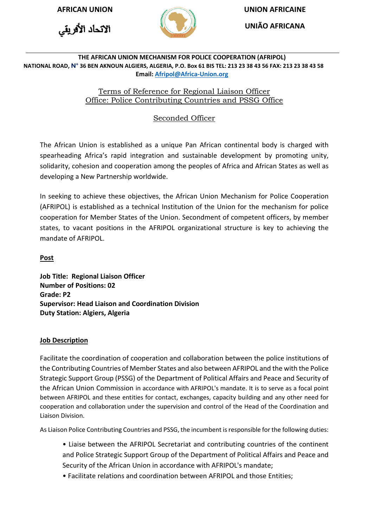الاتحاد الأفريقي



**AFRICAN UNION UNION AFRICAINE**

**UNIÃO AFRICANA**

#### **THE AFRICAN UNION MECHANISM FOR POLICE COOPERATION (AFRIPOL) NATIONAL ROAD, N° 36 BEN AKNOUN ALGIERS, ALGERIA, P.O. Box 61 BIS TEL: 213 23 38 43 56 FAX: 213 23 38 43 58 Email[: Afripol@Africa-Union.org](mailto:Afripol@Africa-Union.org)**

## Terms of Reference for Regional Liaison Officer Office: Police Contributing Countries and PSSG Office

# Seconded Officer

The African Union is established as a unique Pan African continental body is charged with spearheading Africa's rapid integration and sustainable development by promoting unity, solidarity, cohesion and cooperation among the peoples of Africa and African States as well as developing a New Partnership worldwide.

In seeking to achieve these objectives, the African Union Mechanism for Police Cooperation (AFRIPOL) is established as a technical Institution of the Union for the mechanism for police cooperation for Member States of the Union. Secondment of competent officers, by member states, to vacant positions in the AFRIPOL organizational structure is key to achieving the mandate of AFRIPOL.

**Post** 

**Job Title: Regional Liaison Officer Number of Positions: 02 Grade: P2 Supervisor: Head Liaison and Coordination Division Duty Station: Algiers, Algeria** 

## **Job Description**

Facilitate the coordination of cooperation and collaboration between the police institutions of the Contributing Countries of Member States and also between AFRIPOL and the with the Police Strategic Support Group (PSSG) of the Department of Political Affairs and Peace and Security of the African Union Commission in accordance with AFRIPOL's mandate. It is to serve as a focal point between AFRIPOL and these entities for contact, exchanges, capacity building and any other need for cooperation and collaboration under the supervision and control of the Head of the Coordination and Liaison Division.

As Liaison Police Contributing Countries and PSSG, the incumbent is responsible for the following duties:

• Liaise between the AFRIPOL Secretariat and contributing countries of the continent and Police Strategic Support Group of the Department of Political Affairs and Peace and Security of the African Union in accordance with AFRIPOL's mandate;

• Facilitate relations and coordination between AFRIPOL and those Entities;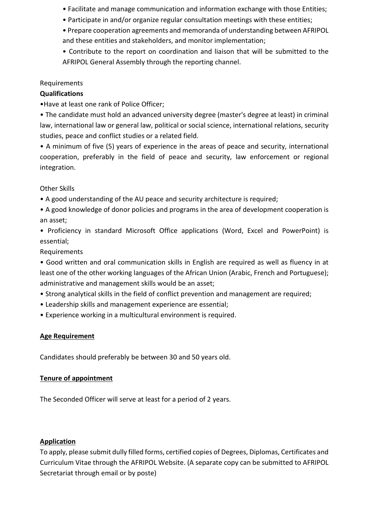- Facilitate and manage communication and information exchange with those Entities;
- Participate in and/or organize regular consultation meetings with these entities;
- Prepare cooperation agreements and memoranda of understanding between AFRIPOL and these entities and stakeholders, and monitor implementation;
- Contribute to the report on coordination and liaison that will be submitted to the AFRIPOL General Assembly through the reporting channel.

### Requirements

### **Qualifications**

•Have at least one rank of Police Officer;

• The candidate must hold an advanced university degree (master's degree at least) in criminal law, international law or general law, political or social science, international relations, security studies, peace and conflict studies or a related field.

• A minimum of five (5) years of experience in the areas of peace and security, international cooperation, preferably in the field of peace and security, law enforcement or regional integration.

Other Skills

- A good understanding of the AU peace and security architecture is required;
- A good knowledge of donor policies and programs in the area of development cooperation is an asset;

• Proficiency in standard Microsoft Office applications (Word, Excel and PowerPoint) is essential;

#### Requirements

• Good written and oral communication skills in English are required as well as fluency in at least one of the other working languages of the African Union (Arabic, French and Portuguese); administrative and management skills would be an asset;

• Strong analytical skills in the field of conflict prevention and management are required;

- Leadership skills and management experience are essential;
- Experience working in a multicultural environment is required.

## **Age Requirement**

Candidates should preferably be between 30 and 50 years old.

## **Tenure of appointment**

The Seconded Officer will serve at least for a period of 2 years.

## **Application**

To apply, please submit dully filled forms, certified copies of Degrees, Diplomas, Certificates and Curriculum Vitae through the AFRIPOL Website. (A separate copy can be submitted to AFRIPOL Secretariat through email or by poste)